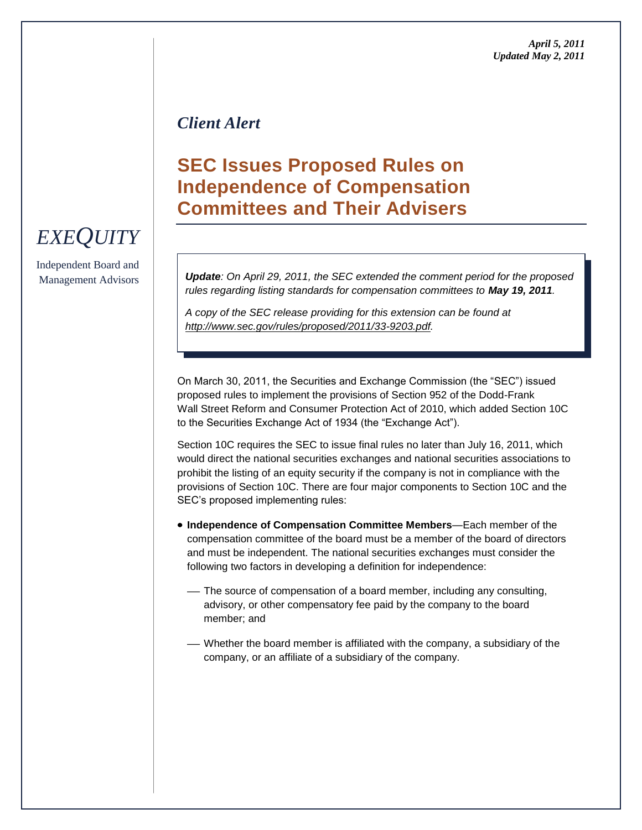### *Client Alert*

# **SEC Issues Proposed Rules on Independence of Compensation Committees and Their Advisers**

*Update: On April 29, 2011, the SEC extended the comment period for the proposed rules regarding listing standards for compensation committees to May 19, 2011.* 

*A copy of the SEC release providing for this extension can be found at [http://www.sec.gov/rules/proposed/2011/33-9203.pdf.](http://www.sec.gov/rules/proposed/2011/33-9203.pdf)*

On March 30, 2011, the Securities and Exchange Commission (the "SEC") issued proposed rules to implement the provisions of Section 952 of the Dodd-Frank Wall Street Reform and Consumer Protection Act of 2010, which added Section 10C to the Securities Exchange Act of 1934 (the "Exchange Act").

Section 10C requires the SEC to issue final rules no later than July 16, 2011, which would direct the national securities exchanges and national securities associations to prohibit the listing of an equity security if the company is not in compliance with the provisions of Section 10C. There are four major components to Section 10C and the SEC's proposed implementing rules:

- **Independence of Compensation Committee Members**—Each member of the compensation committee of the board must be a member of the board of directors and must be independent. The national securities exchanges must consider the following two factors in developing a definition for independence:
	- The source of compensation of a board member, including any consulting, advisory, or other compensatory fee paid by the company to the board member; and
	- Whether the board member is affiliated with the company, a subsidiary of the company, or an affiliate of a subsidiary of the company.

# *EXEQUITY*

Independent Board and Management Advisors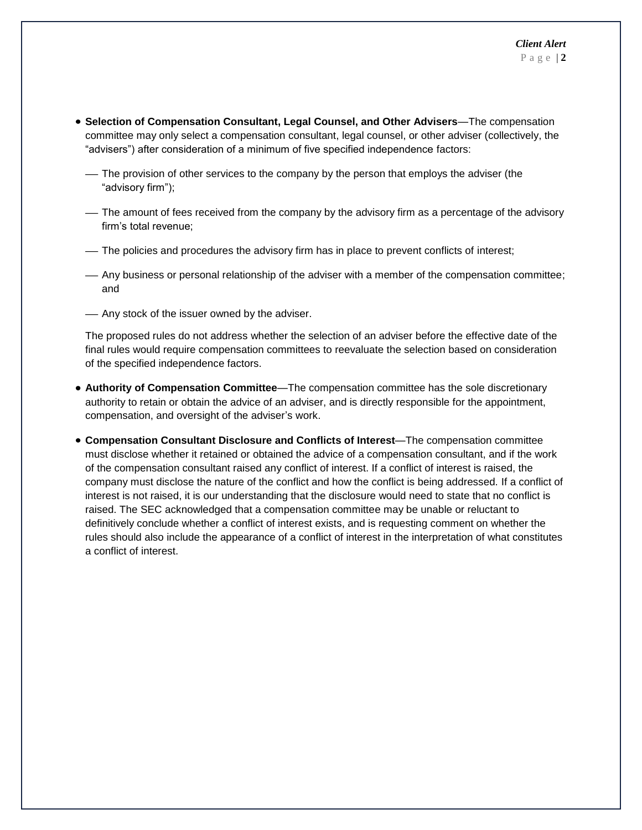- **Selection of Compensation Consultant, Legal Counsel, and Other Advisers**—The compensation committee may only select a compensation consultant, legal counsel, or other adviser (collectively, the "advisers") after consideration of a minimum of five specified independence factors:
	- The provision of other services to the company by the person that employs the adviser (the "advisory firm");
	- The amount of fees received from the company by the advisory firm as a percentage of the advisory firm's total revenue;
	- The policies and procedures the advisory firm has in place to prevent conflicts of interest;
	- Any business or personal relationship of the adviser with a member of the compensation committee; and
	- Any stock of the issuer owned by the adviser.

The proposed rules do not address whether the selection of an adviser before the effective date of the final rules would require compensation committees to reevaluate the selection based on consideration of the specified independence factors.

- **Authority of Compensation Committee**—The compensation committee has the sole discretionary authority to retain or obtain the advice of an adviser, and is directly responsible for the appointment, compensation, and oversight of the adviser's work.
- **Compensation Consultant Disclosure and Conflicts of Interest**—The compensation committee must disclose whether it retained or obtained the advice of a compensation consultant, and if the work of the compensation consultant raised any conflict of interest. If a conflict of interest is raised, the company must disclose the nature of the conflict and how the conflict is being addressed. If a conflict of interest is not raised, it is our understanding that the disclosure would need to state that no conflict is raised. The SEC acknowledged that a compensation committee may be unable or reluctant to definitively conclude whether a conflict of interest exists, and is requesting comment on whether the rules should also include the appearance of a conflict of interest in the interpretation of what constitutes a conflict of interest.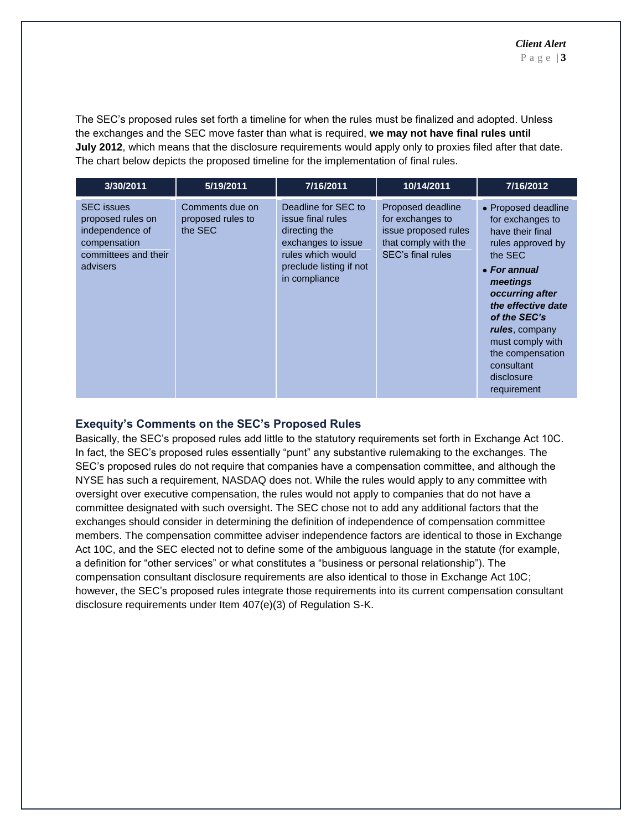The SEC's proposed rules set forth a timeline for when the rules must be finalized and adopted. Unless the exchanges and the SEC move faster than what is required, **we may not have final rules until July 2012**, which means that the disclosure requirements would apply only to proxies filed after that date. The chart below depicts the proposed timeline for the implementation of final rules.

| 3/30/2011                                                                                                     | 5/19/2011                                       | 7/16/2011                                                                                                                                        | 10/14/2011                                                                                                 | 7/16/2012                                                                                                                                                                                                                                                                             |
|---------------------------------------------------------------------------------------------------------------|-------------------------------------------------|--------------------------------------------------------------------------------------------------------------------------------------------------|------------------------------------------------------------------------------------------------------------|---------------------------------------------------------------------------------------------------------------------------------------------------------------------------------------------------------------------------------------------------------------------------------------|
| <b>SEC</b> issues<br>proposed rules on<br>independence of<br>compensation<br>committees and their<br>advisers | Comments due on<br>proposed rules to<br>the SEC | Deadline for SEC to<br>issue final rules<br>directing the<br>exchanges to issue<br>rules which would<br>preclude listing if not<br>in compliance | Proposed deadline<br>for exchanges to<br>issue proposed rules<br>that comply with the<br>SEC's final rules | • Proposed deadline<br>for exchanges to<br>have their final<br>rules approved by<br>the SEC<br>• For annual<br>meetings<br>occurring after<br>the effective date<br>of the SEC's<br>rules, company<br>must comply with<br>the compensation<br>consultant<br>disclosure<br>requirement |

#### **Exequity's Comments on the SEC's Proposed Rules**

Basically, the SEC's proposed rules add little to the statutory requirements set forth in Exchange Act 10C. In fact, the SEC's proposed rules essentially "punt" any substantive rulemaking to the exchanges. The SEC's proposed rules do not require that companies have a compensation committee, and although the NYSE has such a requirement, NASDAQ does not. While the rules would apply to any committee with oversight over executive compensation, the rules would not apply to companies that do not have a committee designated with such oversight. The SEC chose not to add any additional factors that the exchanges should consider in determining the definition of independence of compensation committee members. The compensation committee adviser independence factors are identical to those in Exchange Act 10C, and the SEC elected not to define some of the ambiguous language in the statute (for example, a definition for "other services" or what constitutes a "business or personal relationship"). The compensation consultant disclosure requirements are also identical to those in Exchange Act 10C; however, the SEC's proposed rules integrate those requirements into its current compensation consultant disclosure requirements under Item 407(e)(3) of Regulation S-K.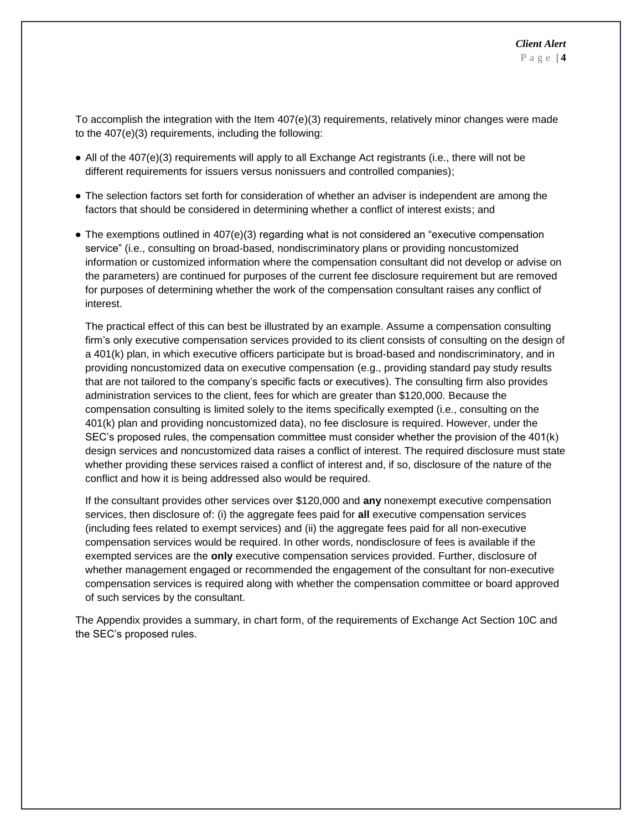To accomplish the integration with the Item 407(e)(3) requirements, relatively minor changes were made to the 407(e)(3) requirements, including the following:

- All of the 407(e)(3) requirements will apply to all Exchange Act registrants (i.e., there will not be different requirements for issuers versus nonissuers and controlled companies);
- The selection factors set forth for consideration of whether an adviser is independent are among the factors that should be considered in determining whether a conflict of interest exists; and
- $\bullet$  The exemptions outlined in 407(e)(3) regarding what is not considered an "executive compensation service" (i.e., consulting on broad-based, nondiscriminatory plans or providing noncustomized information or customized information where the compensation consultant did not develop or advise on the parameters) are continued for purposes of the current fee disclosure requirement but are removed for purposes of determining whether the work of the compensation consultant raises any conflict of interest.

The practical effect of this can best be illustrated by an example. Assume a compensation consulting firm's only executive compensation services provided to its client consists of consulting on the design of a 401(k) plan, in which executive officers participate but is broad-based and nondiscriminatory, and in providing noncustomized data on executive compensation (e.g., providing standard pay study results that are not tailored to the company's specific facts or executives). The consulting firm also provides administration services to the client, fees for which are greater than \$120,000. Because the compensation consulting is limited solely to the items specifically exempted (i.e., consulting on the 401(k) plan and providing noncustomized data), no fee disclosure is required. However, under the SEC's proposed rules, the compensation committee must consider whether the provision of the 401(k) design services and noncustomized data raises a conflict of interest. The required disclosure must state whether providing these services raised a conflict of interest and, if so, disclosure of the nature of the conflict and how it is being addressed also would be required.

If the consultant provides other services over \$120,000 and **any** nonexempt executive compensation services, then disclosure of: (i) the aggregate fees paid for **all** executive compensation services (including fees related to exempt services) and (ii) the aggregate fees paid for all non-executive compensation services would be required. In other words, nondisclosure of fees is available if the exempted services are the **only** executive compensation services provided. Further, disclosure of whether management engaged or recommended the engagement of the consultant for non-executive compensation services is required along with whether the compensation committee or board approved of such services by the consultant.

The Appendix provides a summary, in chart form, of the requirements of Exchange Act Section 10C and the SEC's proposed rules.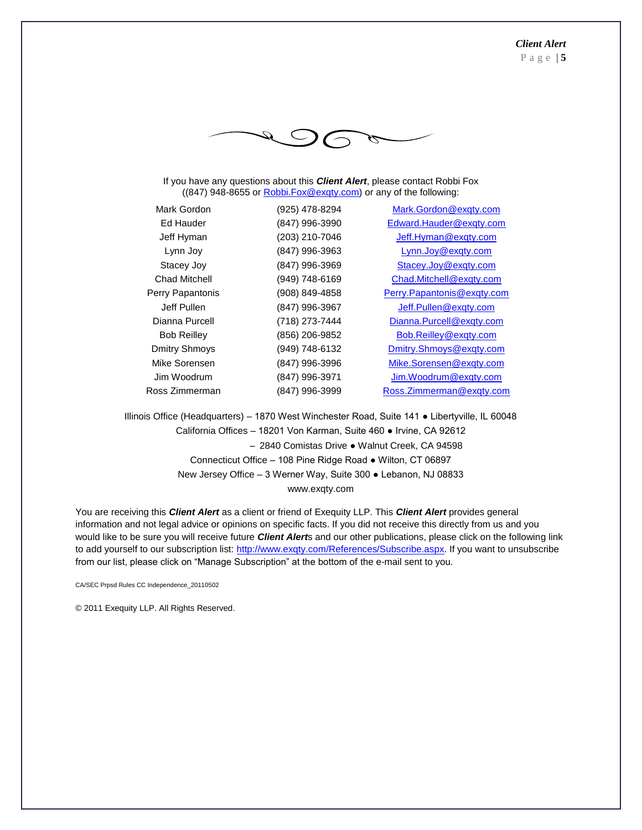

If you have any questions about this *Client Alert*, please contact Robbi Fox ((847) 948-8655 o[r Robbi.Fox@exqty.com\)](mailto:Robbi.Fox@exqty.com) or any of the following:

| Mark Gordon          | (925) 478-8294 | Mark.Gordon@exqty.com      |
|----------------------|----------------|----------------------------|
| Ed Hauder            | (847) 996-3990 | Edward.Hauder@exqty.com    |
| Jeff Hyman           | (203) 210-7046 | Jeff.Hyman@exqty.com       |
| Lynn Joy             | (847) 996-3963 | Lynn.Joy@exqty.com         |
| Stacey Joy           | (847) 996-3969 | Stacey.Joy@exqty.com       |
| Chad Mitchell        | (949) 748-6169 | Chad.Mitchell@exqty.com    |
| Perry Papantonis     | (908) 849-4858 | Perry.Papantonis@exqty.com |
| Jeff Pullen          | (847) 996-3967 | Jeff.Pullen@exqty.com      |
| Dianna Purcell       | (718) 273-7444 | Dianna.Purcell@exqty.com   |
| <b>Bob Reilley</b>   | (856) 206-9852 | Bob.Reilley@exqty.com      |
| <b>Dmitry Shmoys</b> | (949) 748-6132 | Dmitry.Shmoys@exqty.com    |
| Mike Sorensen        | (847) 996-3996 | Mike.Sorensen@exqty.com    |
| Jim Woodrum          | (847) 996-3971 | Jim.Woodrum@exqty.com      |
| Ross Zimmerman       | (847) 996-3999 | Ross.Zimmerman@exqty.com   |
|                      |                |                            |

Illinois Office (Headquarters) – 1870 West Winchester Road, Suite 141 ● Libertyville, IL 60048 California Offices – 18201 Von Karman, Suite 460 ● Irvine, CA 92612 – 2840 Comistas Drive ● Walnut Creek, CA 94598 Connecticut Office – 108 Pine Ridge Road ● Wilton, CT 06897 New Jersey Office – 3 Werner Way, Suite 300 ● Lebanon, NJ 08833 www.exqty.com

You are receiving this *Client Alert* as a client or friend of Exequity LLP. This *Client Alert* provides general information and not legal advice or opinions on specific facts. If you did not receive this directly from us and you would like to be sure you will receive future *Client Alert*s and our other publications, please click on the following link to add yourself to our subscription list: [http://www.exqty.com/References/Subscribe.aspx.](http://www.exqty.com/References/Subscribe.aspx) If you want to unsubscribe from our list, please click on "Manage Subscription" at the bottom of the e-mail sent to you.

CA/SEC Prpsd Rules CC Independence\_20110502

© 2011 Exequity LLP. All Rights Reserved.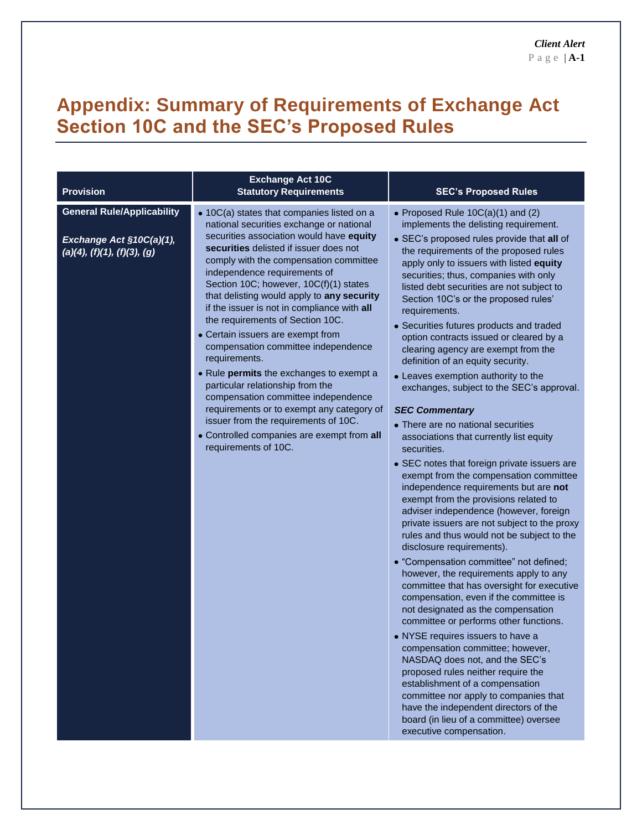# **Appendix: Summary of Requirements of Exchange Act Section 10C and the SEC's Proposed Rules**

| <b>Provision</b>                                                                             | <b>Exchange Act 10C</b><br><b>Statutory Requirements</b>                                                                                                                                                                                                                                                                                                                                                                                                                                                                                                                                                                                                                                                                                                                                                         | <b>SEC's Proposed Rules</b>                                                                                                                                                                                                                                                                                                                                                                                                                                                                                                                                                                                                                                                                                                                                                                                                                                                                                                                                                                                                                                                                                                                                                                                                                                                                                                                                                                                                                                                                                                                                                                                                                                                                            |
|----------------------------------------------------------------------------------------------|------------------------------------------------------------------------------------------------------------------------------------------------------------------------------------------------------------------------------------------------------------------------------------------------------------------------------------------------------------------------------------------------------------------------------------------------------------------------------------------------------------------------------------------------------------------------------------------------------------------------------------------------------------------------------------------------------------------------------------------------------------------------------------------------------------------|--------------------------------------------------------------------------------------------------------------------------------------------------------------------------------------------------------------------------------------------------------------------------------------------------------------------------------------------------------------------------------------------------------------------------------------------------------------------------------------------------------------------------------------------------------------------------------------------------------------------------------------------------------------------------------------------------------------------------------------------------------------------------------------------------------------------------------------------------------------------------------------------------------------------------------------------------------------------------------------------------------------------------------------------------------------------------------------------------------------------------------------------------------------------------------------------------------------------------------------------------------------------------------------------------------------------------------------------------------------------------------------------------------------------------------------------------------------------------------------------------------------------------------------------------------------------------------------------------------------------------------------------------------------------------------------------------------|
| <b>General Rule/Applicability</b><br>Exchange Act §10C(a)(1),<br>(a)(4), (f)(1), (f)(3), (g) | • 10C(a) states that companies listed on a<br>national securities exchange or national<br>securities association would have equity<br>securities delisted if issuer does not<br>comply with the compensation committee<br>independence requirements of<br>Section 10C; however, 10C(f)(1) states<br>that delisting would apply to any security<br>if the issuer is not in compliance with all<br>the requirements of Section 10C.<br>• Certain issuers are exempt from<br>compensation committee independence<br>requirements.<br>• Rule permits the exchanges to exempt a<br>particular relationship from the<br>compensation committee independence<br>requirements or to exempt any category of<br>issuer from the requirements of 10C.<br>• Controlled companies are exempt from all<br>requirements of 10C. | • Proposed Rule 10C(a)(1) and (2)<br>implements the delisting requirement.<br>• SEC's proposed rules provide that all of<br>the requirements of the proposed rules<br>apply only to issuers with listed equity<br>securities; thus, companies with only<br>listed debt securities are not subject to<br>Section 10C's or the proposed rules'<br>requirements.<br>• Securities futures products and traded<br>option contracts issued or cleared by a<br>clearing agency are exempt from the<br>definition of an equity security.<br>• Leaves exemption authority to the<br>exchanges, subject to the SEC's approval.<br><b>SEC Commentary</b><br>• There are no national securities<br>associations that currently list equity<br>securities.<br>• SEC notes that foreign private issuers are<br>exempt from the compensation committee<br>independence requirements but are not<br>exempt from the provisions related to<br>adviser independence (however, foreign<br>private issuers are not subject to the proxy<br>rules and thus would not be subject to the<br>disclosure requirements).<br>• "Compensation committee" not defined;<br>however, the requirements apply to any<br>committee that has oversight for executive<br>compensation, even if the committee is<br>not designated as the compensation<br>committee or performs other functions.<br>• NYSE requires issuers to have a<br>compensation committee; however,<br>NASDAQ does not, and the SEC's<br>proposed rules neither require the<br>establishment of a compensation<br>committee nor apply to companies that<br>have the independent directors of the<br>board (in lieu of a committee) oversee<br>executive compensation. |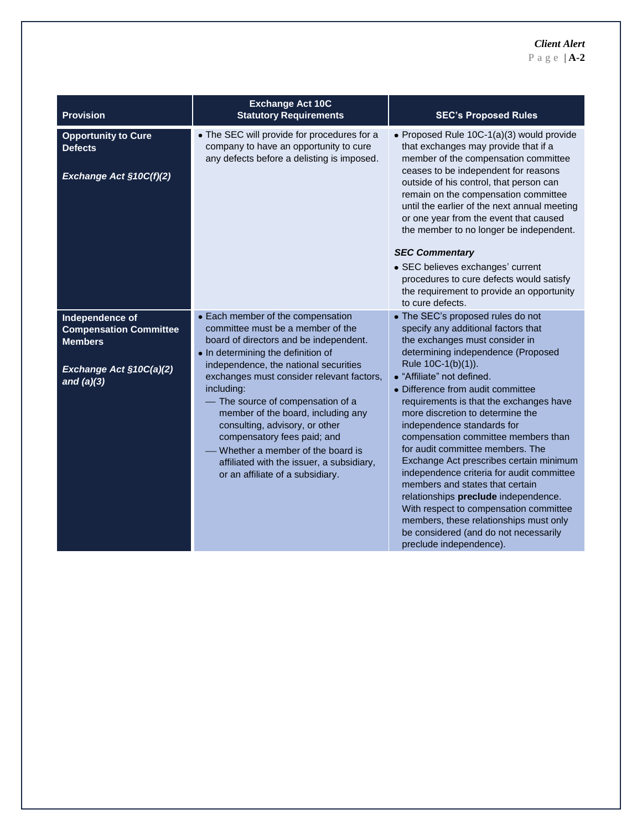### *Client Alert*

P a g e | **A-2**

| <b>Provision</b>                                                                                              | <b>Exchange Act 10C</b><br><b>Statutory Requirements</b>                                                                                                                                                                                                                                                                                                                                                                                                                                                                  | <b>SEC's Proposed Rules</b>                                                                                                                                                                                                                                                                                                                                                                                                                                                                                                                                                                                                                                                                                                                                  |
|---------------------------------------------------------------------------------------------------------------|---------------------------------------------------------------------------------------------------------------------------------------------------------------------------------------------------------------------------------------------------------------------------------------------------------------------------------------------------------------------------------------------------------------------------------------------------------------------------------------------------------------------------|--------------------------------------------------------------------------------------------------------------------------------------------------------------------------------------------------------------------------------------------------------------------------------------------------------------------------------------------------------------------------------------------------------------------------------------------------------------------------------------------------------------------------------------------------------------------------------------------------------------------------------------------------------------------------------------------------------------------------------------------------------------|
| <b>Opportunity to Cure</b><br><b>Defects</b><br>Exchange Act §10C(f)(2)                                       | • The SEC will provide for procedures for a<br>company to have an opportunity to cure<br>any defects before a delisting is imposed.                                                                                                                                                                                                                                                                                                                                                                                       | • Proposed Rule 10C-1(a)(3) would provide<br>that exchanges may provide that if a<br>member of the compensation committee<br>ceases to be independent for reasons<br>outside of his control, that person can<br>remain on the compensation committee<br>until the earlier of the next annual meeting<br>or one year from the event that caused<br>the member to no longer be independent.<br><b>SEC Commentary</b><br>• SEC believes exchanges' current<br>procedures to cure defects would satisfy<br>the requirement to provide an opportunity<br>to cure defects.                                                                                                                                                                                         |
| Independence of<br><b>Compensation Committee</b><br><b>Members</b><br>Exchange Act §10C(a)(2)<br>and $(a)(3)$ | • Each member of the compensation<br>committee must be a member of the<br>board of directors and be independent.<br>• In determining the definition of<br>independence, the national securities<br>exchanges must consider relevant factors,<br>including:<br>The source of compensation of a<br>member of the board, including any<br>consulting, advisory, or other<br>compensatory fees paid; and<br>Whether a member of the board is<br>affiliated with the issuer, a subsidiary,<br>or an affiliate of a subsidiary. | • The SEC's proposed rules do not<br>specify any additional factors that<br>the exchanges must consider in<br>determining independence (Proposed<br>Rule 10C-1(b)(1)).<br>• "Affiliate" not defined.<br>• Difference from audit committee<br>requirements is that the exchanges have<br>more discretion to determine the<br>independence standards for<br>compensation committee members than<br>for audit committee members. The<br>Exchange Act prescribes certain minimum<br>independence criteria for audit committee<br>members and states that certain<br>relationships preclude independence.<br>With respect to compensation committee<br>members, these relationships must only<br>be considered (and do not necessarily<br>preclude independence). |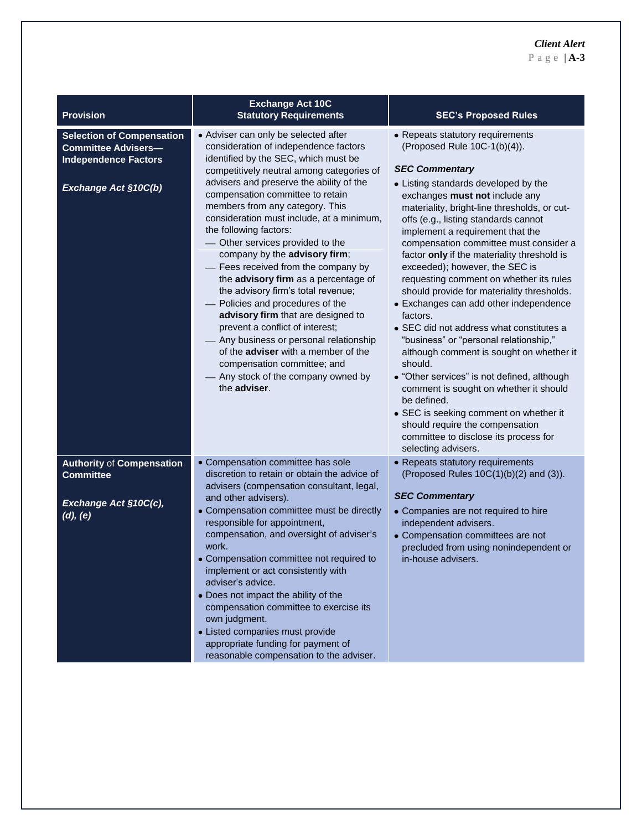| <b>Provision</b>                                                                                                      | <b>Exchange Act 10C</b><br><b>Statutory Requirements</b>                                                                                                                                                                                                                                                                                                                                                                                                                                                                                                                                                                                                                                                                                                                                                                                       | <b>SEC's Proposed Rules</b>                                                                                                                                                                                                                                                                                                                                                                                                                                                                                                                                                                                                                                                                                                                                                                                                                                                                                                                                                 |
|-----------------------------------------------------------------------------------------------------------------------|------------------------------------------------------------------------------------------------------------------------------------------------------------------------------------------------------------------------------------------------------------------------------------------------------------------------------------------------------------------------------------------------------------------------------------------------------------------------------------------------------------------------------------------------------------------------------------------------------------------------------------------------------------------------------------------------------------------------------------------------------------------------------------------------------------------------------------------------|-----------------------------------------------------------------------------------------------------------------------------------------------------------------------------------------------------------------------------------------------------------------------------------------------------------------------------------------------------------------------------------------------------------------------------------------------------------------------------------------------------------------------------------------------------------------------------------------------------------------------------------------------------------------------------------------------------------------------------------------------------------------------------------------------------------------------------------------------------------------------------------------------------------------------------------------------------------------------------|
| <b>Selection of Compensation</b><br><b>Committee Advisers-</b><br><b>Independence Factors</b><br>Exchange Act §10C(b) | • Adviser can only be selected after<br>consideration of independence factors<br>identified by the SEC, which must be<br>competitively neutral among categories of<br>advisers and preserve the ability of the<br>compensation committee to retain<br>members from any category. This<br>consideration must include, at a minimum,<br>the following factors:<br>- Other services provided to the<br>company by the advisory firm;<br>- Fees received from the company by<br>the advisory firm as a percentage of<br>the advisory firm's total revenue;<br>Policies and procedures of the<br>advisory firm that are designed to<br>prevent a conflict of interest;<br>- Any business or personal relationship<br>of the <b>adviser</b> with a member of the<br>compensation committee; and<br>Any stock of the company owned by<br>the adviser. | • Repeats statutory requirements<br>(Proposed Rule 10C-1(b)(4)).<br><b>SEC Commentary</b><br>• Listing standards developed by the<br>exchanges must not include any<br>materiality, bright-line thresholds, or cut-<br>offs (e.g., listing standards cannot<br>implement a requirement that the<br>compensation committee must consider a<br>factor only if the materiality threshold is<br>exceeded); however, the SEC is<br>requesting comment on whether its rules<br>should provide for materiality thresholds.<br>• Exchanges can add other independence<br>factors.<br>• SEC did not address what constitutes a<br>"business" or "personal relationship,"<br>although comment is sought on whether it<br>should.<br>• "Other services" is not defined, although<br>comment is sought on whether it should<br>be defined.<br>• SEC is seeking comment on whether it<br>should require the compensation<br>committee to disclose its process for<br>selecting advisers. |
| <b>Authority of Compensation</b><br><b>Committee</b><br>Exchange Act §10C(c),<br>(d), (e)                             | • Compensation committee has sole<br>discretion to retain or obtain the advice of<br>advisers (compensation consultant, legal,<br>and other advisers).<br>• Compensation committee must be directly<br>responsible for appointment,<br>compensation, and oversight of adviser's<br>work.<br>• Compensation committee not required to<br>implement or act consistently with<br>adviser's advice.<br>• Does not impact the ability of the<br>compensation committee to exercise its<br>own judgment.<br>• Listed companies must provide<br>appropriate funding for payment of<br>reasonable compensation to the adviser.                                                                                                                                                                                                                         | • Repeats statutory requirements<br>(Proposed Rules 10C(1)(b)(2) and (3)).<br><b>SEC Commentary</b><br>• Companies are not required to hire<br>independent advisers.<br>• Compensation committees are not<br>precluded from using nonindependent or<br>in-house advisers.                                                                                                                                                                                                                                                                                                                                                                                                                                                                                                                                                                                                                                                                                                   |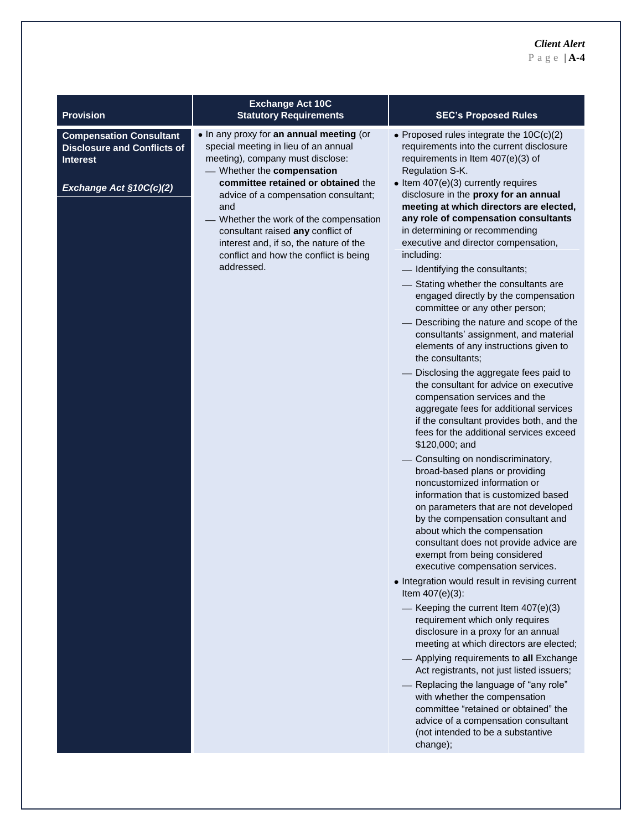### *Client Alert*

P a g e | **A-4**

| <b>Provision</b>                                                                                                   | <b>Exchange Act 10C</b><br><b>Statutory Requirements</b>                                                                                                                                                                                                                                                                                                                                                               | <b>SEC's Proposed Rules</b>                                                                                                                                                                                                                                                                                                                                                                                                                                                                                                                                                                                                                                                                                                                                                                                                                                                                                                                                                                                                                                                                                                                                                                                                                                                                                                                                                                                                                                                                                                                                                                                                                                                                                                                                                                                                                                                                                 |
|--------------------------------------------------------------------------------------------------------------------|------------------------------------------------------------------------------------------------------------------------------------------------------------------------------------------------------------------------------------------------------------------------------------------------------------------------------------------------------------------------------------------------------------------------|-------------------------------------------------------------------------------------------------------------------------------------------------------------------------------------------------------------------------------------------------------------------------------------------------------------------------------------------------------------------------------------------------------------------------------------------------------------------------------------------------------------------------------------------------------------------------------------------------------------------------------------------------------------------------------------------------------------------------------------------------------------------------------------------------------------------------------------------------------------------------------------------------------------------------------------------------------------------------------------------------------------------------------------------------------------------------------------------------------------------------------------------------------------------------------------------------------------------------------------------------------------------------------------------------------------------------------------------------------------------------------------------------------------------------------------------------------------------------------------------------------------------------------------------------------------------------------------------------------------------------------------------------------------------------------------------------------------------------------------------------------------------------------------------------------------------------------------------------------------------------------------------------------------|
| <b>Compensation Consultant</b><br><b>Disclosure and Conflicts of</b><br><b>Interest</b><br>Exchange Act §10C(c)(2) | . In any proxy for an annual meeting (or<br>special meeting in lieu of an annual<br>meeting), company must disclose:<br>- Whether the compensation<br>committee retained or obtained the<br>advice of a compensation consultant;<br>and<br>Whether the work of the compensation<br>consultant raised any conflict of<br>interest and, if so, the nature of the<br>conflict and how the conflict is being<br>addressed. | • Proposed rules integrate the $10C(c)(2)$<br>requirements into the current disclosure<br>requirements in Item 407(e)(3) of<br>Regulation S-K.<br>$\bullet$ Item 407(e)(3) currently requires<br>disclosure in the proxy for an annual<br>meeting at which directors are elected,<br>any role of compensation consultants<br>in determining or recommending<br>executive and director compensation,<br>including:<br>Identifying the consultants;<br>- Stating whether the consultants are<br>engaged directly by the compensation<br>committee or any other person;<br>Describing the nature and scope of the<br>consultants' assignment, and material<br>elements of any instructions given to<br>the consultants;<br>Disclosing the aggregate fees paid to<br>the consultant for advice on executive<br>compensation services and the<br>aggregate fees for additional services<br>if the consultant provides both, and the<br>fees for the additional services exceed<br>\$120,000; and<br>Consulting on nondiscriminatory,<br>broad-based plans or providing<br>noncustomized information or<br>information that is customized based<br>on parameters that are not developed<br>by the compensation consultant and<br>about which the compensation<br>consultant does not provide advice are<br>exempt from being considered<br>executive compensation services.<br>• Integration would result in revising current<br>Item $407(e)(3)$ :<br>- Keeping the current Item $407(e)(3)$<br>requirement which only requires<br>disclosure in a proxy for an annual<br>meeting at which directors are elected;<br>Applying requirements to all Exchange<br>Act registrants, not just listed issuers;<br>Replacing the language of "any role"<br>with whether the compensation<br>committee "retained or obtained" the<br>advice of a compensation consultant<br>(not intended to be a substantive<br>change); |